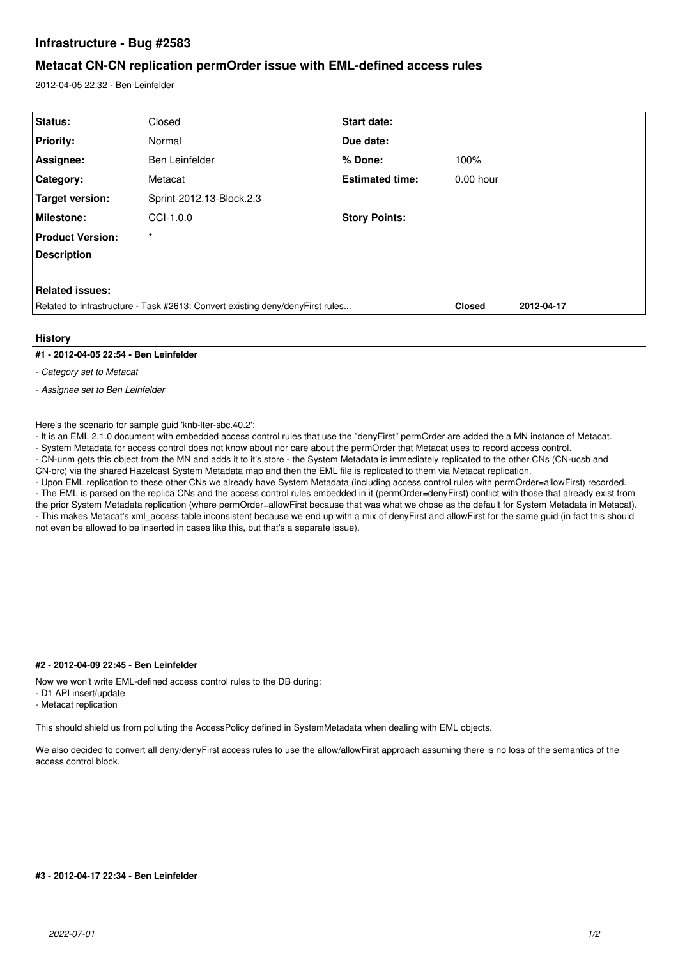# **Infrastructure - Bug #2583**

## **Metacat CN-CN replication permOrder issue with EML-defined access rules**

2012-04-05 22:32 - Ben Leinfelder

| Status:                                                                       | Closed                   | <b>Start date:</b>     |               |            |
|-------------------------------------------------------------------------------|--------------------------|------------------------|---------------|------------|
| <b>Priority:</b>                                                              | Normal                   | Due date:              |               |            |
| Assignee:                                                                     | Ben Leinfelder           | % Done:                | 100%          |            |
| Category:                                                                     | Metacat                  | <b>Estimated time:</b> | $0.00$ hour   |            |
| Target version:                                                               | Sprint-2012.13-Block.2.3 |                        |               |            |
| Milestone:                                                                    | $CCI-1.0.0$              | <b>Story Points:</b>   |               |            |
| <b>Product Version:</b>                                                       | $\star$                  |                        |               |            |
| <b>Description</b>                                                            |                          |                        |               |            |
|                                                                               |                          |                        |               |            |
| <b>Related issues:</b>                                                        |                          |                        |               |            |
| Related to Infrastructure - Task #2613: Convert existing deny/denyFirst rules |                          |                        | <b>Closed</b> | 2012-04-17 |
|                                                                               |                          |                        |               |            |

## **History**

#### **#1 - 2012-04-05 22:54 - Ben Leinfelder**

*- Category set to Metacat*

*- Assignee set to Ben Leinfelder*

Here's the scenario for sample guid 'knb-lter-sbc.40.2':

- It is an EML 2.1.0 document with embedded access control rules that use the "denyFirst" permOrder are added the a MN instance of Metacat.

- System Metadata for access control does not know about nor care about the permOrder that Metacat uses to record access control.

- CN-unm gets this object from the MN and adds it to it's store - the System Metadata is immediately replicated to the other CNs (CN-ucsb and CN-orc) via the shared Hazelcast System Metadata map and then the EML file is replicated to them via Metacat replication.

- Upon EML replication to these other CNs we already have System Metadata (including access control rules with permOrder=allowFirst) recorded. - The EML is parsed on the replica CNs and the access control rules embedded in it (permOrder=denyFirst) conflict with those that already exist from the prior System Metadata replication (where permOrder=allowFirst because that was what we chose as the default for System Metadata in Metacat).

- This makes Metacat's xml\_access table inconsistent because we end up with a mix of denyFirst and allowFirst for the same guid (in fact this should not even be allowed to be inserted in cases like this, but that's a separate issue).

## **#2 - 2012-04-09 22:45 - Ben Leinfelder**

Now we won't write EML-defined access control rules to the DB during:

- D1 API insert/update

- Metacat replication

This should shield us from polluting the AccessPolicy defined in SystemMetadata when dealing with EML objects.

We also decided to convert all deny/denyFirst access rules to use the allow/allowFirst approach assuming there is no loss of the semantics of the access control block.

## **#3 - 2012-04-17 22:34 - Ben Leinfelder**